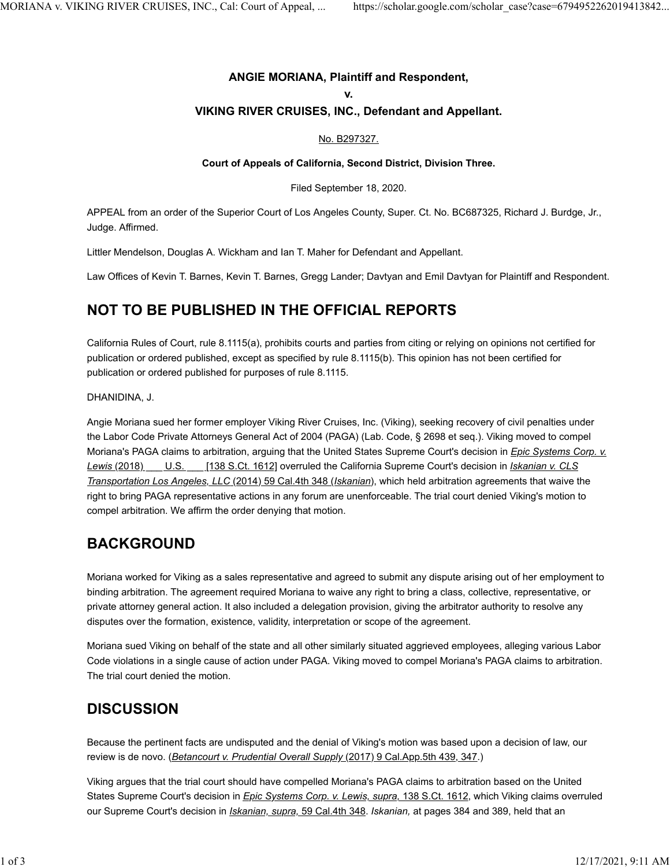### **ANGIE MORIANA, Plaintiff and Respondent,**

#### **v.**

### **VIKING RIVER CRUISES, INC., Defendant and Appellant.**

### [No. B297327.](https://scholar.google.com/scholar?scidkt=9831987909503415379&as_sdt=2&hl=en)

#### **Court of Appeals of California, Second District, Division Three.**

Filed September 18, 2020.

APPEAL from an order of the Superior Court of Los Angeles County, Super. Ct. No. BC687325, Richard J. Burdge, Jr., Judge. Affirmed.

Littler Mendelson, Douglas A. Wickham and Ian T. Maher for Defendant and Appellant.

Law Offices of Kevin T. Barnes, Kevin T. Barnes, Gregg Lander; Davtyan and Emil Davtyan for Plaintiff and Respondent.

### **NOT TO BE PUBLISHED IN THE OFFICIAL REPORTS**

California Rules of Court, rule 8.1115(a), prohibits courts and parties from citing or relying on opinions not certified for publication or ordered published, except as specified by rule 8.1115(b). This opinion has not been certified for publication or ordered published for purposes of rule 8.1115.

DHANIDINA, J.

Angie Moriana sued her former employer Viking River Cruises, Inc. (Viking), seeking recovery of civil penalties under the Labor Code Private Attorneys General Act of 2004 (PAGA) (Lab. Code, § 2698 et seq.). Viking moved to compel Moriana's PAGA claims to arbitration, arguing that the United States Supreme Court's decision in *[Epic Systems Corp. v.](https://scholar.google.com/scholar_case?case=8345012189188610773&q=ANGIE+MORIANA+v.+VIKING+RIVER+CRUISES,+INC.&hl=en&as_sdt=4,5) [Lewis](https://scholar.google.com/scholar_case?case=8345012189188610773&q=ANGIE+MORIANA+v.+VIKING+RIVER+CRUISES,+INC.&hl=en&as_sdt=4,5)* [\(2018\) \\_\\_\\_ U.S. \\_\\_\\_ \[138 S.Ct. 1612\]](https://scholar.google.com/scholar_case?case=8345012189188610773&q=ANGIE+MORIANA+v.+VIKING+RIVER+CRUISES,+INC.&hl=en&as_sdt=4,5) overruled the California Supreme Court's decision in *[Iskanian v. CLS](https://scholar.google.com/scholar_case?case=1320681193506265831&q=ANGIE+MORIANA+v.+VIKING+RIVER+CRUISES,+INC.&hl=en&as_sdt=4,5) [Transportation Los Angeles, LLC](https://scholar.google.com/scholar_case?case=1320681193506265831&q=ANGIE+MORIANA+v.+VIKING+RIVER+CRUISES,+INC.&hl=en&as_sdt=4,5)* [\(2014\) 59 Cal.4th 348 \(](https://scholar.google.com/scholar_case?case=1320681193506265831&q=ANGIE+MORIANA+v.+VIKING+RIVER+CRUISES,+INC.&hl=en&as_sdt=4,5)*[Iskanian](https://scholar.google.com/scholar_case?case=1320681193506265831&q=ANGIE+MORIANA+v.+VIKING+RIVER+CRUISES,+INC.&hl=en&as_sdt=4,5)*[\),](https://scholar.google.com/scholar_case?case=1320681193506265831&q=ANGIE+MORIANA+v.+VIKING+RIVER+CRUISES,+INC.&hl=en&as_sdt=4,5) which held arbitration agreements that waive the right to bring PAGA representative actions in any forum are unenforceable. The trial court denied Viking's motion to compel arbitration. We affirm the order denying that motion.

# **BACKGROUND**

Moriana worked for Viking as a sales representative and agreed to submit any dispute arising out of her employment to binding arbitration. The agreement required Moriana to waive any right to bring a class, collective, representative, or private attorney general action. It also included a delegation provision, giving the arbitrator authority to resolve any disputes over the formation, existence, validity, interpretation or scope of the agreement.

Moriana sued Viking on behalf of the state and all other similarly situated aggrieved employees, alleging various Labor Code violations in a single cause of action under PAGA. Viking moved to compel Moriana's PAGA claims to arbitration. The trial court denied the motion.

# **DISCUSSION**

Because the pertinent facts are undisputed and the denial of Viking's motion was based upon a decision of law, our review is de novo. (*[Betancourt v. Prudential Overall Supply](https://scholar.google.com/scholar_case?case=4085424498589945478&q=ANGIE+MORIANA+v.+VIKING+RIVER+CRUISES,+INC.&hl=en&as_sdt=4,5)* [\(2017\) 9 Cal.App.5th 439, 347.](https://scholar.google.com/scholar_case?case=4085424498589945478&q=ANGIE+MORIANA+v.+VIKING+RIVER+CRUISES,+INC.&hl=en&as_sdt=4,5))

Viking argues that the trial court should have compelled Moriana's PAGA claims to arbitration based on the United States Supreme Court's decision in *[Epic Systems Corp. v. Lewis, supra,](https://scholar.google.com/scholar_case?case=8345012189188610773&q=ANGIE+MORIANA+v.+VIKING+RIVER+CRUISES,+INC.&hl=en&as_sdt=4,5)* [138 S.Ct. 1612,](https://scholar.google.com/scholar_case?case=8345012189188610773&q=ANGIE+MORIANA+v.+VIKING+RIVER+CRUISES,+INC.&hl=en&as_sdt=4,5) which Viking claims overruled our Supreme Court's decision in *[Iskanian, supra,](https://scholar.google.com/scholar_case?case=1320681193506265831&q=ANGIE+MORIANA+v.+VIKING+RIVER+CRUISES,+INC.&hl=en&as_sdt=4,5)* [59 Cal.4th 348.](https://scholar.google.com/scholar_case?case=1320681193506265831&q=ANGIE+MORIANA+v.+VIKING+RIVER+CRUISES,+INC.&hl=en&as_sdt=4,5) *Iskanian,* at pages 384 and 389, held that an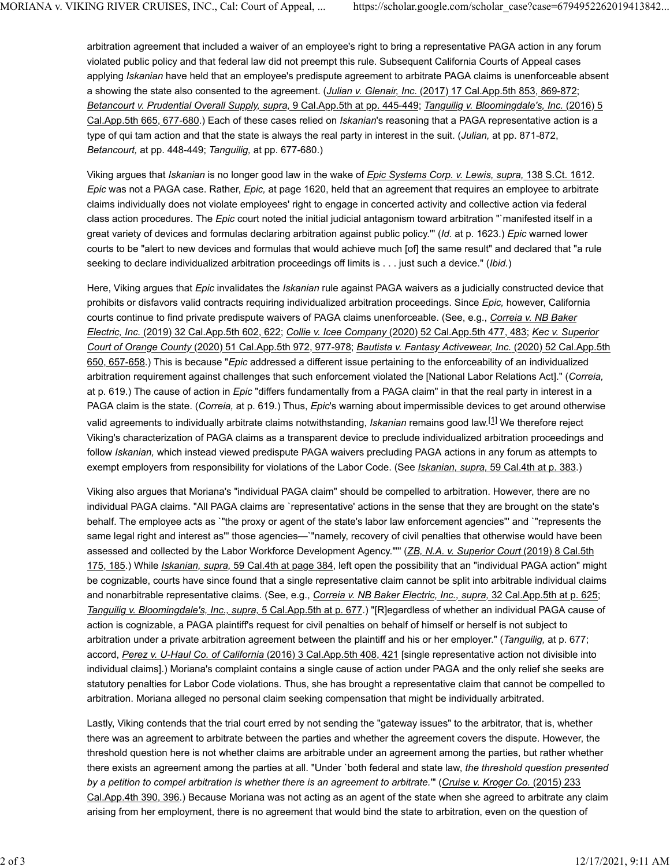arbitration agreement that included a waiver of an employee's right to bring a representative PAGA action in any forum violated public policy and that federal law did not preempt this rule. Subsequent California Courts of Appeal cases applying *Iskanian* have held that an employee's predispute agreement to arbitrate PAGA claims is unenforceable absent a showing the state also consented to the agreement. (*[Julian v. Glenair, Inc.](https://scholar.google.com/scholar_case?case=14816986578224986266&q=ANGIE+MORIANA+v.+VIKING+RIVER+CRUISES,+INC.&hl=en&as_sdt=4,5)* [\(2017\) 17 Cal.App.5th 853, 869-872;](https://scholar.google.com/scholar_case?case=14816986578224986266&q=ANGIE+MORIANA+v.+VIKING+RIVER+CRUISES,+INC.&hl=en&as_sdt=4,5) *[Betancourt v. Prudential Overall Supply, supra,](https://scholar.google.com/scholar_case?case=4085424498589945478&q=ANGIE+MORIANA+v.+VIKING+RIVER+CRUISES,+INC.&hl=en&as_sdt=4,5)* [9 Cal.App.5th at pp. 445-449;](https://scholar.google.com/scholar_case?case=4085424498589945478&q=ANGIE+MORIANA+v.+VIKING+RIVER+CRUISES,+INC.&hl=en&as_sdt=4,5) *[Tanguilig v. Bloomingdale's, Inc.](https://scholar.google.com/scholar_case?case=16789906276310064314&q=ANGIE+MORIANA+v.+VIKING+RIVER+CRUISES,+INC.&hl=en&as_sdt=4,5)* [\(2016\) 5](https://scholar.google.com/scholar_case?case=16789906276310064314&q=ANGIE+MORIANA+v.+VIKING+RIVER+CRUISES,+INC.&hl=en&as_sdt=4,5) [Cal.App.5th 665, 677-680.](https://scholar.google.com/scholar_case?case=16789906276310064314&q=ANGIE+MORIANA+v.+VIKING+RIVER+CRUISES,+INC.&hl=en&as_sdt=4,5)) Each of these cases relied on *Iskanian*'s reasoning that a PAGA representative action is a type of qui tam action and that the state is always the real party in interest in the suit. (*Julian,* at pp. 871-872, *Betancourt,* at pp. 448-449; *Tanguilig,* at pp. 677-680.)

Viking argues that *Iskanian* is no longer good law in the wake of *[Epic Systems Corp. v. Lewis, supra,](https://scholar.google.com/scholar_case?case=8345012189188610773&q=ANGIE+MORIANA+v.+VIKING+RIVER+CRUISES,+INC.&hl=en&as_sdt=4,5)* [138 S.Ct. 1612.](https://scholar.google.com/scholar_case?case=8345012189188610773&q=ANGIE+MORIANA+v.+VIKING+RIVER+CRUISES,+INC.&hl=en&as_sdt=4,5) *Epic* was not a PAGA case. Rather, *Epic,* at page 1620, held that an agreement that requires an employee to arbitrate claims individually does not violate employees' right to engage in concerted activity and collective action via federal class action procedures. The *Epic* court noted the initial judicial antagonism toward arbitration "`manifested itself in a great variety of devices and formulas declaring arbitration against public policy.'" (*Id.* at p. 1623.) *Epic* warned lower courts to be "alert to new devices and formulas that would achieve much [of] the same result" and declared that "a rule seeking to declare individualized arbitration proceedings off limits is . . . just such a device." (*Ibid.*)

Here, Viking argues that *Epic* invalidates the *Iskanian* rule against PAGA waivers as a judicially constructed device that prohibits or disfavors valid contracts requiring individualized arbitration proceedings. Since *Epic,* however, California courts continue to find private predispute waivers of PAGA claims unenforceable. (See, e.g., *[Correia v. NB Baker](https://scholar.google.com/scholar_case?case=1692467973436678705&q=ANGIE+MORIANA+v.+VIKING+RIVER+CRUISES,+INC.&hl=en&as_sdt=4,5) [Electric, Inc.](https://scholar.google.com/scholar_case?case=1692467973436678705&q=ANGIE+MORIANA+v.+VIKING+RIVER+CRUISES,+INC.&hl=en&as_sdt=4,5)* [\(2019\) 32 Cal.App.5th 602, 622;](https://scholar.google.com/scholar_case?case=1692467973436678705&q=ANGIE+MORIANA+v.+VIKING+RIVER+CRUISES,+INC.&hl=en&as_sdt=4,5) *[Collie v. Icee Company](https://scholar.google.com/scholar_case?case=7363417407666204537&q=ANGIE+MORIANA+v.+VIKING+RIVER+CRUISES,+INC.&hl=en&as_sdt=4,5)* [\(2020\) 52 Cal.App.5th 477, 483;](https://scholar.google.com/scholar_case?case=7363417407666204537&q=ANGIE+MORIANA+v.+VIKING+RIVER+CRUISES,+INC.&hl=en&as_sdt=4,5) *[Kec v. Superior](https://scholar.google.com/scholar_case?case=8645076411740482924&q=ANGIE+MORIANA+v.+VIKING+RIVER+CRUISES,+INC.&hl=en&as_sdt=4,5) [Court of Orange County](https://scholar.google.com/scholar_case?case=8645076411740482924&q=ANGIE+MORIANA+v.+VIKING+RIVER+CRUISES,+INC.&hl=en&as_sdt=4,5)* [\(2020\) 51 Cal.App.5th 972, 977-978;](https://scholar.google.com/scholar_case?case=8645076411740482924&q=ANGIE+MORIANA+v.+VIKING+RIVER+CRUISES,+INC.&hl=en&as_sdt=4,5) *[Bautista v. Fantasy Activewear, Inc.](https://scholar.google.com/scholar_case?case=8931767774684046279&q=ANGIE+MORIANA+v.+VIKING+RIVER+CRUISES,+INC.&hl=en&as_sdt=4,5)* [\(2020\) 52 Cal.App.5th](https://scholar.google.com/scholar_case?case=8931767774684046279&q=ANGIE+MORIANA+v.+VIKING+RIVER+CRUISES,+INC.&hl=en&as_sdt=4,5) [650, 657-658.](https://scholar.google.com/scholar_case?case=8931767774684046279&q=ANGIE+MORIANA+v.+VIKING+RIVER+CRUISES,+INC.&hl=en&as_sdt=4,5)) This is because "*Epic* addressed a different issue pertaining to the enforceability of an individualized arbitration requirement against challenges that such enforcement violated the [National Labor Relations Act]." (*Correia,* at p. 619.) The cause of action in *Epic* "differs fundamentally from a PAGA claim" in that the real party in interest in a PAGA claim is the state. (*Correia,* at p. 619.) Thus, *Epic*'s warning about impermissible devices to get around otherwise valid agreements to individually arbitrate claims notwithstanding, *Iskanian* remains good law.[\[1\]](https://scholar.google.com/scholar_case?case=6794952262019413842&q=ANGIE+MORIANA+v.+VIKING+RIVER+CRUISES,+INC.&hl=en&as_sdt=4,5#[1]) We therefore reject Viking's characterization of PAGA claims as a transparent device to preclude individualized arbitration proceedings and follow *Iskanian,* which instead viewed predispute PAGA waivers precluding PAGA actions in any forum as attempts to exempt employers from responsibility for violations of the Labor Code. (See *[Iskanian, supra,](https://scholar.google.com/scholar_case?case=1320681193506265831&q=ANGIE+MORIANA+v.+VIKING+RIVER+CRUISES,+INC.&hl=en&as_sdt=4,5)* [59 Cal.4th at p. 383.](https://scholar.google.com/scholar_case?case=1320681193506265831&q=ANGIE+MORIANA+v.+VIKING+RIVER+CRUISES,+INC.&hl=en&as_sdt=4,5))

Viking also argues that Moriana's "individual PAGA claim" should be compelled to arbitration. However, there are no individual PAGA claims. "All PAGA claims are `representative' actions in the sense that they are brought on the state's behalf. The employee acts as `"the proxy or agent of the state's labor law enforcement agencies"' and `"represents the same legal right and interest as"' those agencies—`"namely, recovery of civil penalties that otherwise would have been assessed and collected by the Labor Workforce Development Agency."'" (*[ZB, N.A. v. Superior Court](https://scholar.google.com/scholar_case?case=14364258963109367031&q=ANGIE+MORIANA+v.+VIKING+RIVER+CRUISES,+INC.&hl=en&as_sdt=4,5)* [\(2019\) 8 Cal.5th](https://scholar.google.com/scholar_case?case=14364258963109367031&q=ANGIE+MORIANA+v.+VIKING+RIVER+CRUISES,+INC.&hl=en&as_sdt=4,5) [175, 185.](https://scholar.google.com/scholar_case?case=14364258963109367031&q=ANGIE+MORIANA+v.+VIKING+RIVER+CRUISES,+INC.&hl=en&as_sdt=4,5)) While *[Iskanian, supra,](https://scholar.google.com/scholar_case?case=1320681193506265831&q=ANGIE+MORIANA+v.+VIKING+RIVER+CRUISES,+INC.&hl=en&as_sdt=4,5)* [59 Cal.4th at page 384,](https://scholar.google.com/scholar_case?case=1320681193506265831&q=ANGIE+MORIANA+v.+VIKING+RIVER+CRUISES,+INC.&hl=en&as_sdt=4,5) left open the possibility that an "individual PAGA action" might be cognizable, courts have since found that a single representative claim cannot be split into arbitrable individual claims and nonarbitrable representative claims. (See, e.g., *[Correia v. NB Baker Electric, Inc., supra,](https://scholar.google.com/scholar_case?case=1692467973436678705&q=ANGIE+MORIANA+v.+VIKING+RIVER+CRUISES,+INC.&hl=en&as_sdt=4,5)* [32 Cal.App.5th at p. 625;](https://scholar.google.com/scholar_case?case=1692467973436678705&q=ANGIE+MORIANA+v.+VIKING+RIVER+CRUISES,+INC.&hl=en&as_sdt=4,5) *[Tanguilig v. Bloomingdale's, Inc., supra,](https://scholar.google.com/scholar_case?case=16789906276310064314&q=ANGIE+MORIANA+v.+VIKING+RIVER+CRUISES,+INC.&hl=en&as_sdt=4,5)* [5 Cal.App.5th at p. 677.](https://scholar.google.com/scholar_case?case=16789906276310064314&q=ANGIE+MORIANA+v.+VIKING+RIVER+CRUISES,+INC.&hl=en&as_sdt=4,5)) "[R]egardless of whether an individual PAGA cause of action is cognizable, a PAGA plaintiff's request for civil penalties on behalf of himself or herself is not subject to arbitration under a private arbitration agreement between the plaintiff and his or her employer." (*Tanguilig,* at p. 677; accord, *[Perez v. U-Haul Co. of California](https://scholar.google.com/scholar_case?case=4109888516241137584&q=ANGIE+MORIANA+v.+VIKING+RIVER+CRUISES,+INC.&hl=en&as_sdt=4,5)* [\(2016\) 3 Cal.App.5th 408, 421](https://scholar.google.com/scholar_case?case=4109888516241137584&q=ANGIE+MORIANA+v.+VIKING+RIVER+CRUISES,+INC.&hl=en&as_sdt=4,5) [single representative action not divisible into individual claims].) Moriana's complaint contains a single cause of action under PAGA and the only relief she seeks are statutory penalties for Labor Code violations. Thus, she has brought a representative claim that cannot be compelled to arbitration. Moriana alleged no personal claim seeking compensation that might be individually arbitrated.

Lastly, Viking contends that the trial court erred by not sending the "gateway issues" to the arbitrator, that is, whether there was an agreement to arbitrate between the parties and whether the agreement covers the dispute. However, the threshold question here is not whether claims are arbitrable under an agreement among the parties, but rather whether there exists an agreement among the parties at all. "Under `both federal and state law, *the threshold question presented by a petition to compel arbitration is whether there is an agreement to arbitrate.*'" (*[Cruise v. Kroger Co.](https://scholar.google.com/scholar_case?case=6784046134925157164&q=ANGIE+MORIANA+v.+VIKING+RIVER+CRUISES,+INC.&hl=en&as_sdt=4,5)* [\(2015\) 233](https://scholar.google.com/scholar_case?case=6784046134925157164&q=ANGIE+MORIANA+v.+VIKING+RIVER+CRUISES,+INC.&hl=en&as_sdt=4,5) [Cal.App.4th 390, 396.](https://scholar.google.com/scholar_case?case=6784046134925157164&q=ANGIE+MORIANA+v.+VIKING+RIVER+CRUISES,+INC.&hl=en&as_sdt=4,5)) Because Moriana was not acting as an agent of the state when she agreed to arbitrate any claim arising from her employment, there is no agreement that would bind the state to arbitration, even on the question of